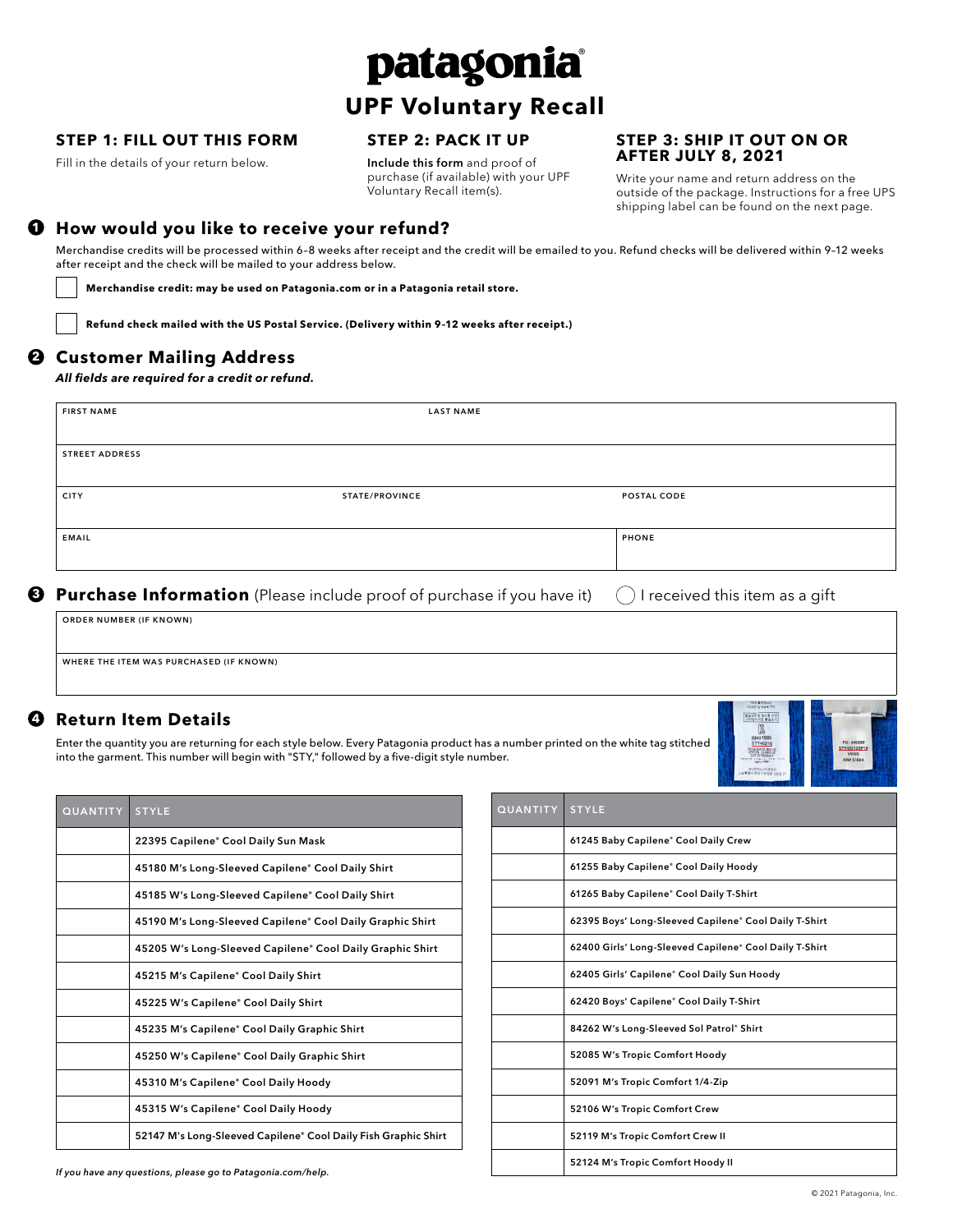# patagonia

## **UPF Voluntary Recall**

#### **STEP 1: FILL OUT THIS FORM**

Fill in the details of your return below.

#### **STEP 2: PACK IT UP**

Include this form and proof of purchase (if available) with your UPF Voluntary Recall item(s).

#### **STEP 3: SHIP IT OUT ON OR AFTER JULY 8, 2021**

Write your name and return address on the outside of the package. Instructions for a free UPS shipping label can be found on the next page.

#### **1 How would you like to receive your refund?**

Merchandise credits will be processed within 6–8 weeks after receipt and the credit will be emailed to you. Refund checks will be delivered within 9–12 weeks after receipt and the check will be mailed to your address below.

 **Merchandise credit: may be used on Patagonia.com or in a Patagonia retail store.**

 **Refund check mailed with the US Postal Service. (Delivery within 9–12 weeks after receipt.)** 

#### **2 Customer Mailing Address**

*All fields are required for a credit or refund.*

| <b>STREET ADDRESS</b> |                |              |
|-----------------------|----------------|--------------|
| <b>CITY</b>           | STATE/PROVINCE | POSTAL CODE  |
| <b>EMAIL</b>          |                | <b>PHONE</b> |

ORDER NUMBER (IF KNOWN)

WHERE THE ITEM WAS PURCHASED (IF KNOWN)

#### **4 Return Item Details**

Enter the quantity you are returning for each style below. Every Patagonia product has a number printed on the white tag stitched into the garment. This number will begin with "STY," followed by a five-digit style number.



| <b>QUANTITY</b> | <b>STYLE</b>                                                   |
|-----------------|----------------------------------------------------------------|
|                 | 22395 Capilene® Cool Daily Sun Mask                            |
|                 | 45180 M's Long-Sleeved Capilene® Cool Daily Shirt              |
|                 | 45185 W's Long-Sleeved Capilene® Cool Daily Shirt              |
|                 | 45190 M's Long-Sleeved Capilene® Cool Daily Graphic Shirt      |
|                 | 45205 W's Long-Sleeved Capilene® Cool Daily Graphic Shirt      |
|                 | 45215 M's Capilene* Cool Daily Shirt                           |
|                 | 45225 W's Capilene® Cool Daily Shirt                           |
|                 | 45235 M's Capilene" Cool Daily Graphic Shirt                   |
|                 | 45250 W's Capilene" Cool Daily Graphic Shirt                   |
|                 | 45310 M's Capilene® Cool Daily Hoody                           |
|                 | 45315 W's Capilene® Cool Daily Hoody                           |
|                 | 52147 M's Long-Sleeved Capilene® Cool Daily Fish Graphic Shirt |
|                 |                                                                |

| <b>QUANTITY</b> | <b>STYLE</b>                                           |
|-----------------|--------------------------------------------------------|
|                 | 61245 Baby Capilene® Cool Daily Crew                   |
|                 | 61255 Baby Capilene® Cool Daily Hoody                  |
|                 | 61265 Baby Capilene* Cool Daily T-Shirt                |
|                 | 62395 Boys' Long-Sleeved Capilene* Cool Daily T-Shirt  |
|                 | 62400 Girls' Long-Sleeved Capilene* Cool Daily T-Shirt |
|                 | 62405 Girls' Capilene* Cool Daily Sun Hoody            |
|                 | 62420 Boys' Capilene* Cool Daily T-Shirt               |
|                 | 84262 W's Long-Sleeved Sol Patrol® Shirt               |
|                 | 52085 W's Tropic Comfort Hoody                         |
|                 | 52091 M's Tropic Comfort 1/4-Zip                       |
|                 | 52106 W's Tropic Comfort Crew                          |
|                 | 52119 M's Tropic Comfort Crew II                       |
|                 | 52124 M's Tropic Comfort Hoody II                      |

*If you have any questions, please go to Patagonia.com/help.*